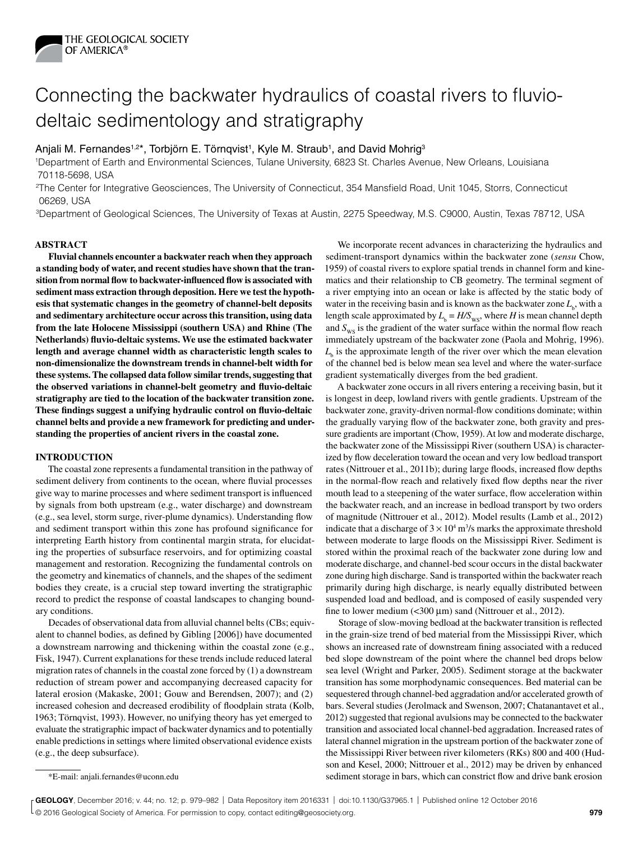

# Connecting the backwater hydraulics of coastal rivers to fluviodeltaic sedimentology and stratigraphy

# Anjali M. Fernandes<sup>1,2\*</sup>, Torbjörn E. Törnqvist<sup>1</sup>, Kyle M. Straub<sup>1</sup>, and David Mohrig<sup>3</sup>

1Department of Earth and Environmental Sciences, Tulane University, 6823 St. Charles Avenue, New Orleans, Louisiana 70118-5698, USA

2The Center for Integrative Geosciences, The University of Connecticut, 354 Mansfield Road, Unit 1045, Storrs, Connecticut 06269, USA

3Department of Geological Sciences, The University of Texas at Austin, 2275 Speedway, M.S. C9000, Austin, Texas 78712, USA

## **ABSTRACT**

**Fluvial channels encounter a backwater reach when they approach a standing body of water, and recent studies have shown that the transition from normal flow to backwater-influenced flow is associated with sediment mass extraction through deposition. Here we test the hypothesis that systematic changes in the geometry of channel-belt deposits and sedimentary architecture occur across this transition, using data from the late Holocene Mississippi (southern USA) and Rhine (The Netherlands) fluvio-deltaic systems. We use the estimated backwater length and average channel width as characteristic length scales to non-dimensionalize the downstream trends in channel-belt width for these systems. The collapsed data follow similar trends, suggesting that the observed variations in channel-belt geometry and fluvio-deltaic stratigraphy are tied to the location of the backwater transition zone. These findings suggest a unifying hydraulic control on fluvio-deltaic channel belts and provide a new framework for predicting and understanding the properties of ancient rivers in the coastal zone.**

## **INTRODUCTION**

The coastal zone represents a fundamental transition in the pathway of sediment delivery from continents to the ocean, where fluvial processes give way to marine processes and where sediment transport is influenced by signals from both upstream (e.g., water discharge) and downstream (e.g., sea level, storm surge, river-plume dynamics). Understanding flow and sediment transport within this zone has profound significance for interpreting Earth history from continental margin strata, for elucidating the properties of subsurface reservoirs, and for optimizing coastal management and restoration. Recognizing the fundamental controls on the geometry and kinematics of channels, and the shapes of the sediment bodies they create, is a crucial step toward inverting the stratigraphic record to predict the response of coastal landscapes to changing boundary conditions.

Decades of observational data from alluvial channel belts (CBs; equivalent to channel bodies, as defined by Gibling [2006]) have documented a downstream narrowing and thickening within the coastal zone (e.g., Fisk, 1947). Current explanations for these trends include reduced lateral migration rates of channels in the coastal zone forced by (1) a downstream reduction of stream power and accompanying decreased capacity for lateral erosion (Makaske, 2001; Gouw and Berendsen, 2007); and (2) increased cohesion and decreased erodibility of floodplain strata (Kolb, 1963; Törnqvist, 1993). However, no unifying theory has yet emerged to evaluate the stratigraphic impact of backwater dynamics and to potentially enable predictions in settings where limited observational evidence exists (e.g., the deep subsurface).

We incorporate recent advances in characterizing the hydraulics and sediment-transport dynamics within the backwater zone (*sensu* Chow, 1959) of coastal rivers to explore spatial trends in channel form and kinematics and their relationship to CB geometry. The terminal segment of a river emptying into an ocean or lake is affected by the static body of water in the receiving basin and is known as the backwater zone  $L_{\rm b}$ , with a length scale approximated by  $L_b = H/S_{\text{ws}}$ , where *H* is mean channel depth and  $S_{\text{ws}}$  is the gradient of the water surface within the normal flow reach immediately upstream of the backwater zone (Paola and Mohrig, 1996).  $L<sub>b</sub>$  is the approximate length of the river over which the mean elevation of the channel bed is below mean sea level and where the water-surface gradient systematically diverges from the bed gradient.

A backwater zone occurs in all rivers entering a receiving basin, but it is longest in deep, lowland rivers with gentle gradients. Upstream of the backwater zone, gravity-driven normal-flow conditions dominate; within the gradually varying flow of the backwater zone, both gravity and pressure gradients are important (Chow, 1959). At low and moderate discharge, the backwater zone of the Mississippi River (southern USA) is characterized by flow deceleration toward the ocean and very low bedload transport rates (Nittrouer et al., 2011b); during large floods, increased flow depths in the normal-flow reach and relatively fixed flow depths near the river mouth lead to a steepening of the water surface, flow acceleration within the backwater reach, and an increase in bedload transport by two orders of magnitude (Nittrouer et al., 2012). Model results (Lamb et al., 2012) indicate that a discharge of  $3 \times 10^4$  m<sup>3</sup>/s marks the approximate threshold between moderate to large floods on the Mississippi River. Sediment is stored within the proximal reach of the backwater zone during low and moderate discharge, and channel-bed scour occurs in the distal backwater zone during high discharge. Sand is transported within the backwater reach primarily during high discharge, is nearly equally distributed between suspended load and bedload, and is composed of easily suspended very fine to lower medium  $\left($  < 300  $\mu$ m) sand (Nittrouer et al., 2012).

Storage of slow-moving bedload at the backwater transition is reflected in the grain-size trend of bed material from the Mississippi River, which shows an increased rate of downstream fining associated with a reduced bed slope downstream of the point where the channel bed drops below sea level (Wright and Parker, 2005). Sediment storage at the backwater transition has some morphodynamic consequences. Bed material can be sequestered through channel-bed aggradation and/or accelerated growth of bars. Several studies (Jerolmack and Swenson, 2007; Chatanantavet et al., 2012) suggested that regional avulsions may be connected to the backwater transition and associated local channel-bed aggradation. Increased rates of lateral channel migration in the upstream portion of the backwater zone of the Mississippi River between river kilometers (RKs) 800 and 400 (Hudson and Kesel, 2000; Nittrouer et al., 2012) may be driven by enhanced \*E-mail: anjali.fernandes@uconn.edu sediment storage in bars, which can constrict flow and drive bank erosion

**C** 2016 Geological Society of America. For permission to copy, contact editing@geosociety.org. **979 2016** Contact editing@geosociety.org. **GEOLOGY**, December 2016; v. 44; no. 12; p. 979–982 | Data Repository item 2016331 | doi:10.1130/G37965.1 | Published online 12 October 2016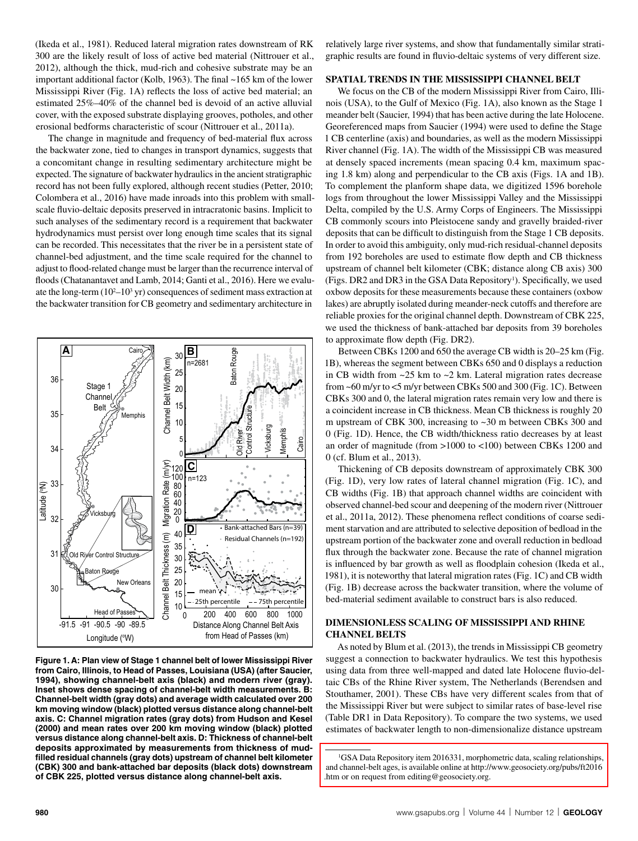(Ikeda et al., 1981). Reduced lateral migration rates downstream of RK 300 are the likely result of loss of active bed material (Nittrouer et al., 2012), although the thick, mud-rich and cohesive substrate may be an important additional factor (Kolb, 1963). The final ~165 km of the lower Mississippi River (Fig. 1A) reflects the loss of active bed material; an estimated 25%–40% of the channel bed is devoid of an active alluvial cover, with the exposed substrate displaying grooves, potholes, and other erosional bedforms characteristic of scour (Nittrouer et al., 2011a).

The change in magnitude and frequency of bed-material flux across the backwater zone, tied to changes in transport dynamics, suggests that a concomitant change in resulting sedimentary architecture might be expected. The signature of backwater hydraulics in the ancient stratigraphic record has not been fully explored, although recent studies (Petter, 2010; Colombera et al., 2016) have made inroads into this problem with smallscale fluvio-deltaic deposits preserved in intracratonic basins. Implicit to such analyses of the sedimentary record is a requirement that backwater hydrodynamics must persist over long enough time scales that its signal can be recorded. This necessitates that the river be in a persistent state of channel-bed adjustment, and the time scale required for the channel to adjust to flood-related change must be larger than the recurrence interval of floods (Chatanantavet and Lamb, 2014; Ganti et al., 2016). Here we evaluate the long-term  $(10^2-10^3 \text{ yr})$  consequences of sediment mass extraction at the backwater transition for CB geometry and sedimentary architecture in



**Figure 1. A: Plan view of Stage 1 channel belt of lower Mississippi River from Cairo, Illinois, to Head of Passes, Louisiana (USA) (after Saucier, 1994), showing channel-belt axis (black) and modern river (gray). Inset shows dense spacing of channel-belt width measurements. B: Channel-belt width (gray dots) and average width calculated over 200 km moving window (black) plotted versus distance along channel-belt axis. C: Channel migration rates (gray dots) from Hudson and Kesel (2000) and mean rates over 200 km moving window (black) plotted versus distance along channel-belt axis. D: Thickness of channel-belt deposits approximated by measurements from thickness of mudfilled residual channels (gray dots) upstream of channel belt kilometer (CBK) 300 and bank-attached bar deposits (black dots) downstream of CBK 225, plotted versus distance along channel-belt axis.**

relatively large river systems, and show that fundamentally similar stratigraphic results are found in fluvio-deltaic systems of very different size.

## **SPATIAL TRENDS IN THE MISSISSIPPI CHANNEL BELT**

We focus on the CB of the modern Mississippi River from Cairo, Illinois (USA), to the Gulf of Mexico (Fig. 1A), also known as the Stage 1 meander belt (Saucier, 1994) that has been active during the late Holocene. Georeferenced maps from Saucier (1994) were used to define the Stage 1 CB centerline (axis) and boundaries, as well as the modern Mississippi River channel (Fig. 1A). The width of the Mississippi CB was measured at densely spaced increments (mean spacing 0.4 km, maximum spacing 1.8 km) along and perpendicular to the CB axis (Figs. 1A and 1B). To complement the planform shape data, we digitized 1596 borehole logs from throughout the lower Mississippi Valley and the Mississippi Delta, compiled by the U.S. Army Corps of Engineers. The Mississippi CB commonly scours into Pleistocene sandy and gravelly braided-river deposits that can be difficult to distinguish from the Stage 1 CB deposits. In order to avoid this ambiguity, only mud-rich residual-channel deposits from 192 boreholes are used to estimate flow depth and CB thickness upstream of channel belt kilometer (CBK; distance along CB axis) 300 (Figs. DR2 and DR3 in the GSA Data Repository<sup>1</sup>). Specifically, we used oxbow deposits for these measurements because these containers (oxbow lakes) are abruptly isolated during meander-neck cutoffs and therefore are reliable proxies for the original channel depth. Downstream of CBK 225, we used the thickness of bank-attached bar deposits from 39 boreholes to approximate flow depth (Fig. DR2).

Between CBKs 1200 and 650 the average CB width is 20–25 km (Fig. 1B), whereas the segment between CBKs 650 and 0 displays a reduction in CB width from  $\sim$ 25 km to  $\sim$ 2 km. Lateral migration rates decrease from ~60 m/yr to <5 m/yr between CBKs 500 and 300 (Fig. 1C). Between CBKs 300 and 0, the lateral migration rates remain very low and there is a coincident increase in CB thickness. Mean CB thickness is roughly 20 m upstream of CBK 300, increasing to ~30 m between CBKs 300 and 0 (Fig. 1D). Hence, the CB width/thickness ratio decreases by at least an order of magnitude (from >1000 to <100) between CBKs 1200 and 0 (cf. Blum et al., 2013).

Thickening of CB deposits downstream of approximately CBK 300 (Fig. 1D), very low rates of lateral channel migration (Fig. 1C), and CB widths (Fig. 1B) that approach channel widths are coincident with observed channel-bed scour and deepening of the modern river (Nittrouer et al., 2011a, 2012). These phenomena reflect conditions of coarse sediment starvation and are attributed to selective deposition of bedload in the upstream portion of the backwater zone and overall reduction in bedload flux through the backwater zone. Because the rate of channel migration is influenced by bar growth as well as floodplain cohesion (Ikeda et al., 1981), it is noteworthy that lateral migration rates (Fig. 1C) and CB width (Fig. 1B) decrease across the backwater transition, where the volume of bed-material sediment available to construct bars is also reduced.

# **DIMENSIONLESS SCALING OF MISSISSIPPI AND RHINE CHANNEL BELTS**

As noted by Blum et al. (2013), the trends in Mississippi CB geometry suggest a connection to backwater hydraulics. We test this hypothesis using data from three well-mapped and dated late Holocene fluvio-deltaic CBs of the Rhine River system, The Netherlands (Berendsen and Stouthamer, 2001). These CBs have very different scales from that of the Mississippi River but were subject to similar rates of base-level rise (Table DR1 in Data Repository). To compare the two systems, we used estimates of backwater length to non-dimensionalize distance upstream

<sup>1</sup> GSA Data Repository item 2016331, morphometric data, scaling relationships, [and channel-belt ages, is available online at http://www.geosociety.org/pubs/ft2016](ftp://rock.geosociety.org/pub/reposit/2016/2016331.pdf) .htm or on request from editing@geosociety.org.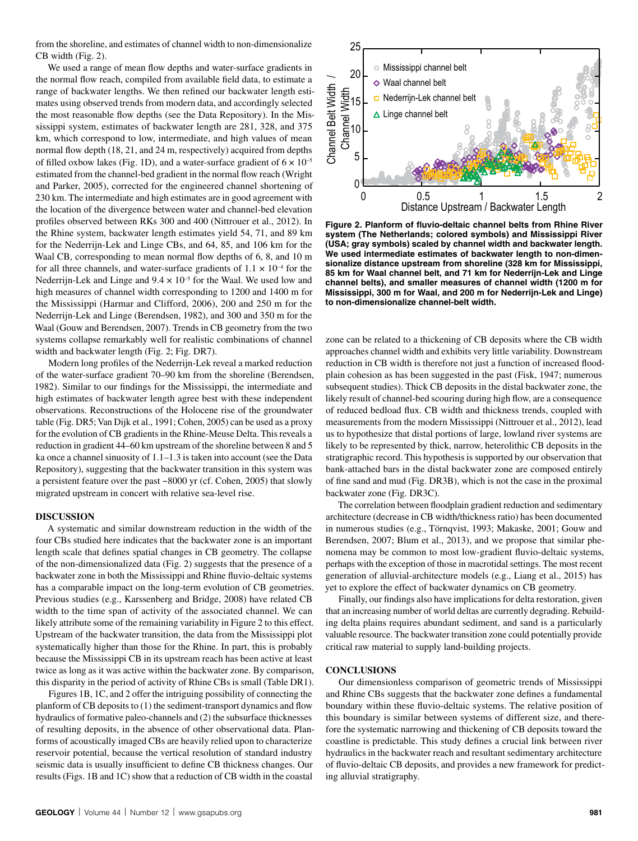from the shoreline, and estimates of channel width to non-dimensionalize CB width (Fig. 2).

We used a range of mean flow depths and water-surface gradients in the normal flow reach, compiled from available field data, to estimate a range of backwater lengths. We then refined our backwater length estimates using observed trends from modern data, and accordingly selected the most reasonable flow depths (see the Data Repository). In the Mississippi system, estimates of backwater length are 281, 328, and 375 km, which correspond to low, intermediate, and high values of mean normal flow depth (18, 21, and 24 m, respectively) acquired from depths of filled oxbow lakes (Fig. 1D), and a water-surface gradient of  $6 \times 10^{-5}$ estimated from the channel-bed gradient in the normal flow reach (Wright and Parker, 2005), corrected for the engineered channel shortening of 230 km. The intermediate and high estimates are in good agreement with the location of the divergence between water and channel-bed elevation profiles observed between RKs 300 and 400 (Nittrouer et al., 2012). In the Rhine system, backwater length estimates yield 54, 71, and 89 km for the Nederrijn-Lek and Linge CBs, and 64, 85, and 106 km for the Waal CB, corresponding to mean normal flow depths of 6, 8, and 10 m for all three channels, and water-surface gradients of  $1.1 \times 10^{-4}$  for the Nederrijn-Lek and Linge and  $9.4 \times 10^{-5}$  for the Waal. We used low and high measures of channel width corresponding to 1200 and 1400 m for the Mississippi (Harmar and Clifford, 2006), 200 and 250 m for the Nederrijn-Lek and Linge (Berendsen, 1982), and 300 and 350 m for the Waal (Gouw and Berendsen, 2007). Trends in CB geometry from the two systems collapse remarkably well for realistic combinations of channel width and backwater length (Fig. 2; Fig. DR7).

Modern long profiles of the Nederrijn-Lek reveal a marked reduction of the water-surface gradient 70–90 km from the shoreline (Berendsen, 1982). Similar to our findings for the Mississippi, the intermediate and high estimates of backwater length agree best with these independent observations. Reconstructions of the Holocene rise of the groundwater table (Fig. DR5; Van Dijk et al., 1991; Cohen, 2005) can be used as a proxy for the evolution of CB gradients in the Rhine-Meuse Delta. This reveals a reduction in gradient 44–60 km upstream of the shoreline between 8 and 5 ka once a channel sinuosity of 1.1–1.3 is taken into account (see the Data Repository), suggesting that the backwater transition in this system was a persistent feature over the past ~8000 yr (cf. Cohen, 2005) that slowly migrated upstream in concert with relative sea-level rise.

### **DISCUSSION**

A systematic and similar downstream reduction in the width of the four CBs studied here indicates that the backwater zone is an important length scale that defines spatial changes in CB geometry. The collapse of the non-dimensionalized data (Fig. 2) suggests that the presence of a backwater zone in both the Mississippi and Rhine fluvio-deltaic systems has a comparable impact on the long-term evolution of CB geometries. Previous studies (e.g., Karssenberg and Bridge, 2008) have related CB width to the time span of activity of the associated channel. We can likely attribute some of the remaining variability in Figure 2 to this effect. Upstream of the backwater transition, the data from the Mississippi plot systematically higher than those for the Rhine. In part, this is probably because the Mississippi CB in its upstream reach has been active at least twice as long as it was active within the backwater zone. By comparison, this disparity in the period of activity of Rhine CBs is small (Table DR1).

Figures 1B, 1C, and 2 offer the intriguing possibility of connecting the planform of CB deposits to (1) the sediment-transport dynamics and flow hydraulics of formative paleo-channels and (2) the subsurface thicknesses of resulting deposits, in the absence of other observational data. Planforms of acoustically imaged CBs are heavily relied upon to characterize reservoir potential, because the vertical resolution of standard industry seismic data is usually insufficient to define CB thickness changes. Our results (Figs. 1B and 1C) show that a reduction of CB width in the coastal



**Figure 2. Planform of fluvio-deltaic channel belts from Rhine River system (The Netherlands; colored symbols) and Mississippi River (USA; gray symbols) scaled by channel width and backwater length. We used intermediate estimates of backwater length to non-dimensionalize distance upstream from shoreline (328 km for Mississippi, 85 km for Waal channel belt, and 71 km for Nederrijn-Lek and Linge channel belts), and smaller measures of channel width (1200 m for Mississippi, 300 m for Waal, and 200 m for Nederrijn-Lek and Linge) to non-dimensionalize channel-belt width.**

zone can be related to a thickening of CB deposits where the CB width approaches channel width and exhibits very little variability. Downstream reduction in CB width is therefore not just a function of increased floodplain cohesion as has been suggested in the past (Fisk, 1947; numerous subsequent studies). Thick CB deposits in the distal backwater zone, the likely result of channel-bed scouring during high flow, are a consequence of reduced bedload flux. CB width and thickness trends, coupled with measurements from the modern Mississippi (Nittrouer et al., 2012), lead us to hypothesize that distal portions of large, lowland river systems are likely to be represented by thick, narrow, heterolithic CB deposits in the stratigraphic record. This hypothesis is supported by our observation that bank-attached bars in the distal backwater zone are composed entirely of fine sand and mud (Fig. DR3B), which is not the case in the proximal backwater zone (Fig. DR3C).

The correlation between floodplain gradient reduction and sedimentary architecture (decrease in CB width/thickness ratio) has been documented in numerous studies (e.g., Törnqvist, 1993; Makaske, 2001; Gouw and Berendsen, 2007; Blum et al., 2013), and we propose that similar phenomena may be common to most low-gradient fluvio-deltaic systems, perhaps with the exception of those in macrotidal settings. The most recent generation of alluvial-architecture models (e.g., Liang et al., 2015) has yet to explore the effect of backwater dynamics on CB geometry.

Finally, our findings also have implications for delta restoration, given that an increasing number of world deltas are currently degrading. Rebuilding delta plains requires abundant sediment, and sand is a particularly valuable resource. The backwater transition zone could potentially provide critical raw material to supply land-building projects.

#### **CONCLUSIONS**

Our dimensionless comparison of geometric trends of Mississippi and Rhine CBs suggests that the backwater zone defines a fundamental boundary within these fluvio-deltaic systems. The relative position of this boundary is similar between systems of different size, and therefore the systematic narrowing and thickening of CB deposits toward the coastline is predictable. This study defines a crucial link between river hydraulics in the backwater reach and resultant sedimentary architecture of fluvio-deltaic CB deposits, and provides a new framework for predicting alluvial stratigraphy.